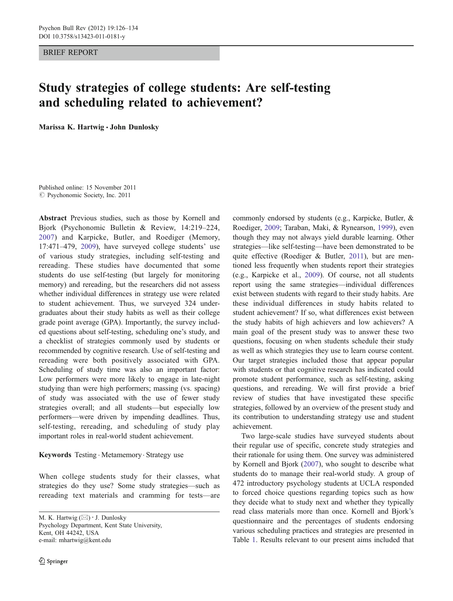BRIEF REPORT

# Study strategies of college students: Are self-testing and scheduling related to achievement?

Marissa K. Hartwig · John Dunlosky

Published online: 15 November 2011  $\oslash$  Psychonomic Society, Inc. 2011

Abstract Previous studies, such as those by Kornell and Bjork (Psychonomic Bulletin & Review, 14:219–224, [2007\)](#page-8-0) and Karpicke, Butler, and Roediger (Memory, 17:471–479, [2009](#page-7-0)), have surveyed college students' use of various study strategies, including self-testing and rereading. These studies have documented that some students do use self-testing (but largely for monitoring memory) and rereading, but the researchers did not assess whether individual differences in strategy use were related to student achievement. Thus, we surveyed 324 undergraduates about their study habits as well as their college grade point average (GPA). Importantly, the survey included questions about self-testing, scheduling one's study, and a checklist of strategies commonly used by students or recommended by cognitive research. Use of self-testing and rereading were both positively associated with GPA. Scheduling of study time was also an important factor: Low performers were more likely to engage in late-night studying than were high performers; massing (vs. spacing) of study was associated with the use of fewer study strategies overall; and all students—but especially low performers—were driven by impending deadlines. Thus, self-testing, rereading, and scheduling of study play important roles in real-world student achievement.

# Keywords Testing · Metamemory · Strategy use

When college students study for their classes, what strategies do they use? Some study strategies—such as rereading text materials and cramming for tests—are

M. K. Hartwig  $(\boxtimes) \cdot$  J. Dunlosky Psychology Department, Kent State University, Kent, OH 44242, USA e-mail: mhartwig@kent.edu

commonly endorsed by students (e.g., Karpicke, Butler, & Roediger, [2009;](#page-7-0) Taraban, Maki, & Rynearson, [1999\)](#page-8-0), even though they may not always yield durable learning. Other strategies—like self-testing—have been demonstrated to be quite effective (Roediger & Butler, [2011\)](#page-8-0), but are mentioned less frequently when students report their strategies (e.g., Karpicke et al., [2009\)](#page-7-0). Of course, not all students report using the same strategies—individual differences exist between students with regard to their study habits. Are these individual differences in study habits related to student achievement? If so, what differences exist between the study habits of high achievers and low achievers? A main goal of the present study was to answer these two questions, focusing on when students schedule their study as well as which strategies they use to learn course content. Our target strategies included those that appear popular with students or that cognitive research has indicated could promote student performance, such as self-testing, asking questions, and rereading. We will first provide a brief review of studies that have investigated these specific strategies, followed by an overview of the present study and its contribution to understanding strategy use and student achievement.

Two large-scale studies have surveyed students about their regular use of specific, concrete study strategies and their rationale for using them. One survey was administered by Kornell and Bjork [\(2007](#page-8-0)), who sought to describe what students do to manage their real-world study. A group of 472 introductory psychology students at UCLA responded to forced choice questions regarding topics such as how they decide what to study next and whether they typically read class materials more than once. Kornell and Bjork's questionnaire and the percentages of students endorsing various scheduling practices and strategies are presented in Table [1](#page-2-0). Results relevant to our present aims included that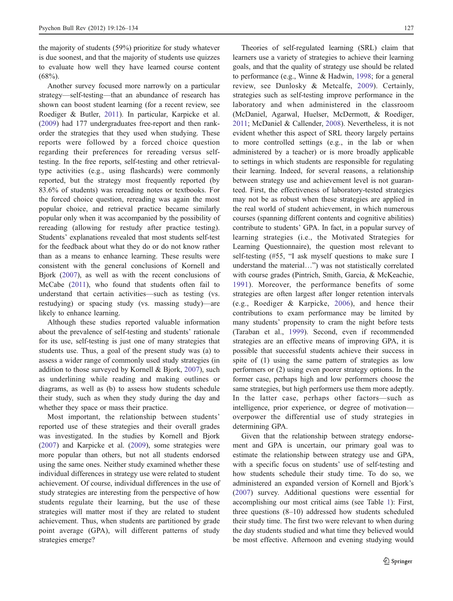the majority of students (59%) prioritize for study whatever is due soonest, and that the majority of students use quizzes to evaluate how well they have learned course content  $(68\%)$ .

Another survey focused more narrowly on a particular strategy—self-testing—that an abundance of research has shown can boost student learning (for a recent review, see Roediger & Butler, [2011\)](#page-8-0). In particular, Karpicke et al. [\(2009](#page-7-0)) had 177 undergraduates free-report and then rankorder the strategies that they used when studying. These reports were followed by a forced choice question regarding their preferences for rereading versus selftesting. In the free reports, self-testing and other retrievaltype activities (e.g., using flashcards) were commonly reported, but the strategy most frequently reported (by 83.6% of students) was rereading notes or textbooks. For the forced choice question, rereading was again the most popular choice, and retrieval practice became similarly popular only when it was accompanied by the possibility of rereading (allowing for restudy after practice testing). Students' explanations revealed that most students self-test for the feedback about what they do or do not know rather than as a means to enhance learning. These results were consistent with the general conclusions of Kornell and Bjork ([2007\)](#page-8-0), as well as with the recent conclusions of McCabe ([2011](#page-8-0)), who found that students often fail to understand that certain activities—such as testing (vs. restudying) or spacing study (vs. massing study)—are likely to enhance learning.

Although these studies reported valuable information about the prevalence of self-testing and students' rationale for its use, self-testing is just one of many strategies that students use. Thus, a goal of the present study was (a) to assess a wider range of commonly used study strategies (in addition to those surveyed by Kornell & Bjork, [2007](#page-8-0)), such as underlining while reading and making outlines or diagrams, as well as (b) to assess how students schedule their study, such as when they study during the day and whether they space or mass their practice.

Most important, the relationship between students' reported use of these strategies and their overall grades was investigated. In the studies by Kornell and Bjork [\(2007](#page-8-0)) and Karpicke et al. ([2009\)](#page-7-0), some strategies were more popular than others, but not all students endorsed using the same ones. Neither study examined whether these individual differences in strategy use were related to student achievement. Of course, individual differences in the use of study strategies are interesting from the perspective of how students regulate their learning, but the use of these strategies will matter most if they are related to student achievement. Thus, when students are partitioned by grade point average (GPA), will different patterns of study strategies emerge?

Theories of self-regulated learning (SRL) claim that learners use a variety of strategies to achieve their learning goals, and that the quality of strategy use should be related to performance (e.g., Winne & Hadwin, [1998](#page-8-0); for a general review, see Dunlosky & Metcalfe, [2009\)](#page-7-0). Certainly, strategies such as self-testing improve performance in the laboratory and when administered in the classroom (McDaniel, Agarwal, Huelser, McDermott, & Roediger, [2011;](#page-8-0) McDaniel & Callender, [2008](#page-8-0)). Nevertheless, it is not evident whether this aspect of SRL theory largely pertains to more controlled settings (e.g., in the lab or when administered by a teacher) or is more broadly applicable to settings in which students are responsible for regulating their learning. Indeed, for several reasons, a relationship between strategy use and achievement level is not guaranteed. First, the effectiveness of laboratory-tested strategies may not be as robust when these strategies are applied in the real world of student achievement, in which numerous courses (spanning different contents and cognitive abilities) contribute to students' GPA. In fact, in a popular survey of learning strategies (i.e., the Motivated Strategies for Learning Questionnaire), the question most relevant to self-testing (#55, "I ask myself questions to make sure I understand the material…") was not statistically correlated with course grades (Pintrich, Smith, Garcia, & McKeachie, [1991](#page-8-0)). Moreover, the performance benefits of some strategies are often largest after longer retention intervals (e.g., Roediger & Karpicke, [2006\)](#page-8-0), and hence their contributions to exam performance may be limited by many students' propensity to cram the night before tests (Taraban et al., [1999\)](#page-8-0). Second, even if recommended strategies are an effective means of improving GPA, it is possible that successful students achieve their success in spite of (1) using the same pattern of strategies as low performers or (2) using even poorer strategy options. In the former case, perhaps high and low performers choose the same strategies, but high performers use them more adeptly. In the latter case, perhaps other factors—such as intelligence, prior experience, or degree of motivation overpower the differential use of study strategies in determining GPA.

Given that the relationship between strategy endorsement and GPA is uncertain, our primary goal was to estimate the relationship between strategy use and GPA, with a specific focus on students' use of self-testing and how students schedule their study time. To do so, we administered an expanded version of Kornell and Bjork's [\(2007](#page-8-0)) survey. Additional questions were essential for accomplishing our most critical aims (see Table [1\)](#page-2-0): First, three questions (8–10) addressed how students scheduled their study time. The first two were relevant to when during the day students studied and what time they believed would be most effective. Afternoon and evening studying would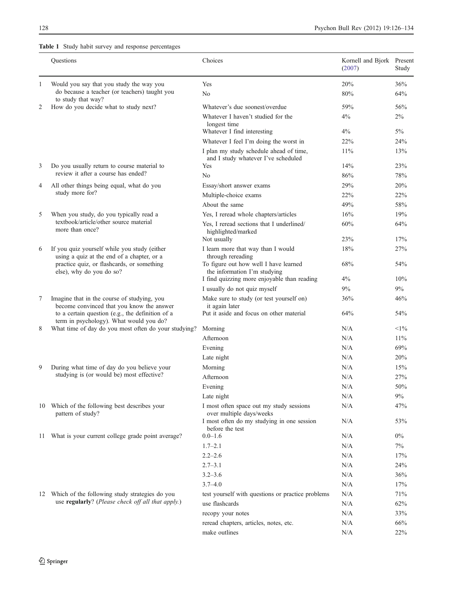### <span id="page-2-0"></span>Table 1 Study habit survey and response percentages

|   | Questions                                                                                                                                                            | Choices                                                                        | Kornell and Bjork Present<br>(2007) | Study  |
|---|----------------------------------------------------------------------------------------------------------------------------------------------------------------------|--------------------------------------------------------------------------------|-------------------------------------|--------|
| 1 | Would you say that you study the way you<br>do because a teacher (or teachers) taught you<br>to study that way?                                                      | Yes                                                                            | 20%                                 | 36%    |
|   |                                                                                                                                                                      | N <sub>0</sub>                                                                 | 80%                                 | 64%    |
| 2 | How do you decide what to study next?                                                                                                                                | Whatever's due soonest/overdue                                                 | 59%                                 | 56%    |
|   |                                                                                                                                                                      | Whatever I haven't studied for the<br>longest time                             | $4\%$                               | 2%     |
|   |                                                                                                                                                                      | Whatever I find interesting                                                    | $4\%$                               | $5\%$  |
|   |                                                                                                                                                                      | Whatever I feel I'm doing the worst in                                         | 22%                                 | 24%    |
|   |                                                                                                                                                                      | I plan my study schedule ahead of time,<br>and I study whatever I've scheduled | 11%                                 | 13%    |
| 3 | Do you usually return to course material to<br>review it after a course has ended?                                                                                   | Yes                                                                            | 14%                                 | 23%    |
|   |                                                                                                                                                                      | No                                                                             | 86%                                 | 78%    |
| 4 | All other things being equal, what do you<br>study more for?                                                                                                         | Essay/short answer exams                                                       | 29%                                 | 20%    |
|   |                                                                                                                                                                      | Multiple-choice exams                                                          | 22%                                 | 22%    |
|   |                                                                                                                                                                      | About the same                                                                 | 49%                                 | 58%    |
| 5 | When you study, do you typically read a<br>textbook/article/other source material<br>more than once?                                                                 | Yes, I reread whole chapters/articles                                          | 16%                                 | 19%    |
|   |                                                                                                                                                                      | Yes, I reread sections that I underlined/<br>highlighted/marked                | 60%                                 | 64%    |
|   |                                                                                                                                                                      | Not usually                                                                    | 23%                                 | 17%    |
| 6 | If you quiz yourself while you study (either<br>using a quiz at the end of a chapter, or a<br>practice quiz, or flashcards, or something<br>else), why do you do so? | I learn more that way than I would<br>through rereading                        | 18%                                 | 27%    |
|   |                                                                                                                                                                      | To figure out how well I have learned<br>the information I'm studying          | 68%                                 | 54%    |
|   |                                                                                                                                                                      | I find quizzing more enjoyable than reading                                    | $4\%$                               | 10%    |
|   |                                                                                                                                                                      | I usually do not quiz myself                                                   | 9%                                  | 9%     |
| 7 | Imagine that in the course of studying, you<br>become convinced that you know the answer                                                                             | Make sure to study (or test yourself on)<br>it again later                     | 36%                                 | 46%    |
|   | to a certain question (e.g., the definition of a<br>term in psychology). What would you do?                                                                          | Put it aside and focus on other material                                       | 64%                                 | 54%    |
| 8 | What time of day do you most often do your studying?                                                                                                                 | Morning                                                                        | N/A                                 | $<1\%$ |
|   |                                                                                                                                                                      | Afternoon                                                                      | N/A                                 | 11%    |
|   |                                                                                                                                                                      | Evening                                                                        | N/A                                 | 69%    |
|   |                                                                                                                                                                      | Late night                                                                     | N/A                                 | 20%    |
| 9 | During what time of day do you believe your<br>studying is (or would be) most effective?                                                                             | Morning                                                                        | N/A                                 | 15%    |
|   |                                                                                                                                                                      | Afternoon                                                                      | N/A                                 | 27%    |
|   |                                                                                                                                                                      | Evening                                                                        | N/A                                 | 50%    |
|   |                                                                                                                                                                      | Late night                                                                     | N/A                                 | 9%     |
|   | 10 Which of the following best describes your<br>pattern of study?<br>11 What is your current college grade point average?                                           | I most often space out my study sessions<br>over multiple days/weeks           | N/A                                 | 47%    |
|   |                                                                                                                                                                      | I most often do my studying in one session<br>before the test                  | N/A                                 | 53%    |
|   |                                                                                                                                                                      | $0.0 - 1.6$                                                                    | N/A                                 | $0\%$  |
|   |                                                                                                                                                                      | $1.7 - 2.1$                                                                    | N/A                                 | 7%     |
|   |                                                                                                                                                                      | $2.2 - 2.6$                                                                    | N/A                                 | 17%    |
|   |                                                                                                                                                                      | $2.7 - 3.1$                                                                    | $\rm N/A$                           | 24%    |
|   |                                                                                                                                                                      | $3.2 - 3.6$                                                                    | $\rm N/A$                           | 36%    |
|   |                                                                                                                                                                      | $3.7 - 4.0$                                                                    | $\rm N/A$                           | 17%    |
|   | 12 Which of the following study strategies do you<br>use regularly? (Please check off all that apply.)                                                               | test yourself with questions or practice problems                              | N/A                                 | 71%    |
|   |                                                                                                                                                                      | use flashcards                                                                 | $\rm N/A$                           | 62%    |
|   |                                                                                                                                                                      | recopy your notes                                                              | N/A                                 | 33%    |
|   |                                                                                                                                                                      | reread chapters, articles, notes, etc.                                         | N/A                                 | 66%    |
|   |                                                                                                                                                                      | make outlines                                                                  | $\rm N/A$                           | 22%    |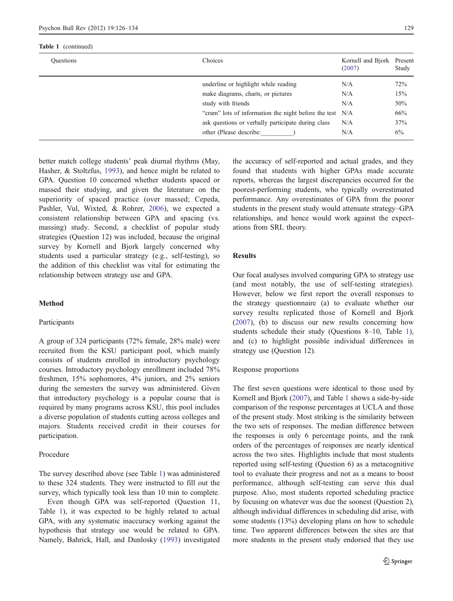| (2007) | Study                                                                                 |
|--------|---------------------------------------------------------------------------------------|
| N/A    | 72%                                                                                   |
| N/A    | 15%                                                                                   |
| N/A    | 50%                                                                                   |
|        | 66%                                                                                   |
| N/A    | 37%                                                                                   |
| N/A    | 6%                                                                                    |
|        | Kornell and Bjork Present<br>"cram" lots of information the night before the test N/A |

better match college students' peak diurnal rhythms (May, Hasher, & Stoltzfus, [1993](#page-8-0)), and hence might be related to GPA. Question 10 concerned whether students spaced or massed their studying, and given the literature on the superiority of spaced practice (over massed; Cepeda, Pashler, Vul, Wixted, & Rohrer, [2006\)](#page-7-0), we expected a consistent relationship between GPA and spacing (vs. massing) study. Second, a checklist of popular study strategies (Question 12) was included, because the original survey by Kornell and Bjork largely concerned why students used a particular strategy (e.g., self-testing), so the addition of this checklist was vital for estimating the relationship between strategy use and GPA.

# Method

#### Participants

A group of 324 participants (72% female, 28% male) were recruited from the KSU participant pool, which mainly consists of students enrolled in introductory psychology courses. Introductory psychology enrollment included 78% freshmen, 15% sophomores, 4% juniors, and 2% seniors during the semesters the survey was administered. Given that introductory psychology is a popular course that is required by many programs across KSU, this pool includes a diverse population of students cutting across colleges and majors. Students received credit in their courses for participation.

#### Procedure

The survey described above (see Table [1\)](#page-2-0) was administered to these 324 students. They were instructed to fill out the survey, which typically took less than 10 min to complete.

Even though GPA was self-reported (Question 11, Table [1\)](#page-2-0), it was expected to be highly related to actual GPA, with any systematic inaccuracy working against the hypothesis that strategy use would be related to GPA. Namely, Bahrick, Hall, and Dunlosky [\(1993](#page-7-0)) investigated the accuracy of self-reported and actual grades, and they found that students with higher GPAs made accurate reports, whereas the largest discrepancies occurred for the poorest-performing students, who typically overestimated performance. Any overestimates of GPA from the poorer students in the present study would attenuate strategy–GPA relationships, and hence would work against the expectations from SRL theory.

# Results

Our focal analyses involved comparing GPA to strategy use (and most notably, the use of self-testing strategies). However, below we first report the overall responses to the strategy questionnaire (a) to evaluate whether our survey results replicated those of Kornell and Bjork [\(2007](#page-8-0)), (b) to discuss our new results concerning how students schedule their study (Questions 8–10, Table [1\)](#page-2-0), and (c) to highlight possible individual differences in strategy use (Question 12).

#### Response proportions

The first seven questions were identical to those used by Kornell and Bjork [\(2007](#page-8-0)), and Table [1](#page-2-0) shows a side-by-side comparison of the response percentages at UCLA and those of the present study. Most striking is the similarity between the two sets of responses. The median difference between the responses is only 6 percentage points, and the rank orders of the percentages of responses are nearly identical across the two sites. Highlights include that most students reported using self-testing (Question 6) as a metacognitive tool to evaluate their progress and not as a means to boost performance, although self-testing can serve this dual purpose. Also, most students reported scheduling practice by focusing on whatever was due the soonest (Question 2), although individual differences in scheduling did arise, with some students (13%) developing plans on how to schedule time. Two apparent differences between the sites are that more students in the present study endorsed that they use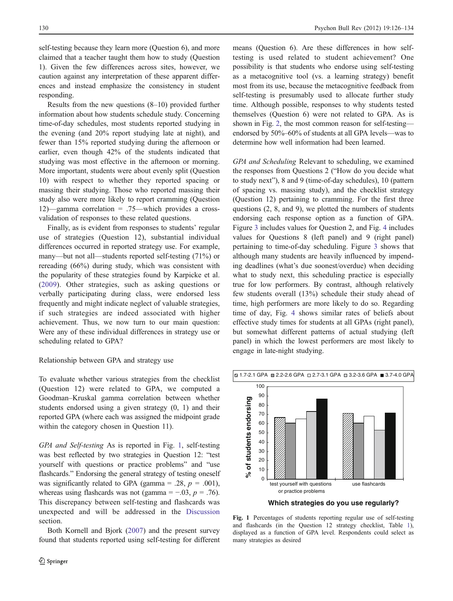<span id="page-4-0"></span>self-testing because they learn more (Question 6), and more claimed that a teacher taught them how to study (Question 1). Given the few differences across sites, however, we caution against any interpretation of these apparent differences and instead emphasize the consistency in student responding.

Results from the new questions (8–10) provided further information about how students schedule study. Concerning time-of-day schedules, most students reported studying in the evening (and 20% report studying late at night), and fewer than 15% reported studying during the afternoon or earlier, even though 42% of the students indicated that studying was most effective in the afternoon or morning. More important, students were about evenly split (Question 10) with respect to whether they reported spacing or massing their studying. Those who reported massing their study also were more likely to report cramming (Question 12)—gamma correlation = .75—which provides a crossvalidation of responses to these related questions.

Finally, as is evident from responses to students' regular use of strategies (Question 12), substantial individual differences occurred in reported strategy use. For example, many—but not all—students reported self-testing (71%) or rereading (66%) during study, which was consistent with the popularity of these strategies found by Karpicke et al. [\(2009\)](#page-7-0). Other strategies, such as asking questions or verbally participating during class, were endorsed less frequently and might indicate neglect of valuable strategies, if such strategies are indeed associated with higher achievement. Thus, we now turn to our main question: Were any of these individual differences in strategy use or scheduling related to GPA?

# Relationship between GPA and strategy use

To evaluate whether various strategies from the checklist (Question 12) were related to GPA, we computed a Goodman–Kruskal gamma correlation between whether students endorsed using a given strategy (0, 1) and their reported GPA (where each was assigned the midpoint grade within the category chosen in Question 11).

GPA and Self-testing As is reported in Fig. 1, self-testing was best reflected by two strategies in Question 12: "test yourself with questions or practice problems" and "use flashcards." Endorsing the general strategy of testing oneself was significantly related to GPA (gamma = .28,  $p = .001$ ), whereas using flashcards was not (gamma =  $-0.03$ ,  $p = 0.76$ ). This discrepancy between self-testing and flashcards was unexpected and will be addressed in the [Discussion](#page-5-0) section.

Both Kornell and Bjork [\(2007](#page-8-0)) and the present survey found that students reported using self-testing for different

means (Question 6). Are these differences in how selftesting is used related to student achievement? One possibility is that students who endorse using self-testing as a metacognitive tool (vs. a learning strategy) benefit most from its use, because the metacognitive feedback from self-testing is presumably used to allocate further study time. Although possible, responses to why students tested themselves (Question 6) were not related to GPA. As is shown in Fig. [2,](#page-5-0) the most common reason for self-testing endorsed by 50%–60% of students at all GPA levels—was to determine how well information had been learned.

GPA and Scheduling Relevant to scheduling, we examined the responses from Questions 2 ("How do you decide what to study next"), 8 and 9 (time-of-day schedules), 10 (pattern of spacing vs. massing study), and the checklist strategy (Question 12) pertaining to cramming. For the first three questions (2, 8, and 9), we plotted the numbers of students endorsing each response option as a function of GPA. Figure [3](#page-6-0) includes values for Question 2, and Fig. [4](#page-6-0) includes values for Questions 8 (left panel) and 9 (right panel) pertaining to time-of-day scheduling. Figure [3](#page-6-0) shows that although many students are heavily influenced by impending deadlines (what's due soonest/overdue) when deciding what to study next, this scheduling practice is especially true for low performers. By contrast, although relatively few students overall (13%) schedule their study ahead of time, high performers are more likely to do so. Regarding time of day, Fig. [4](#page-6-0) shows similar rates of beliefs about effective study times for students at all GPAs (right panel), but somewhat different patterns of actual studying (left panel) in which the lowest performers are most likely to engage in late-night studying.



**Which strategies do you use regularly?**

Fig. 1 Percentages of students reporting regular use of self-testing and flashcards (in the Question 12 strategy checklist, Table [1](#page-2-0)), displayed as a function of GPA level. Respondents could select as many strategies as desired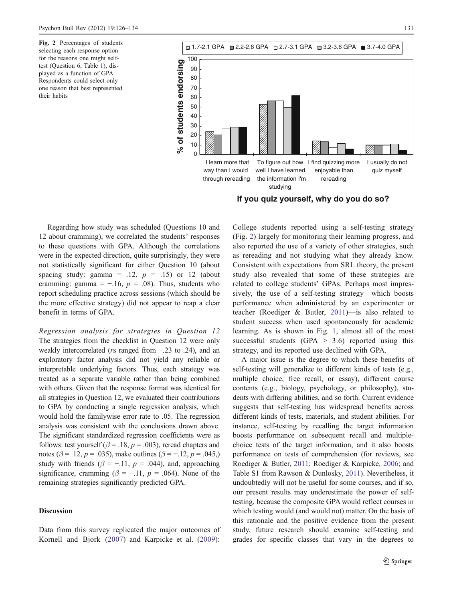selecting each response option for the reasons one might selftest (Question 6, Table [1\)](#page-2-0), displayed as a function of GPA. Respondents could select only one reason that best represented their habits

<span id="page-5-0"></span>

**If you quiz yourself, why do you do so?**

Regarding how study was scheduled (Questions 10 and 12 about cramming), we correlated the students' responses to these questions with GPA. Although the correlations were in the expected direction, quite surprisingly, they were not statistically significant for either Question 10 (about spacing study: gamma = .12,  $p = .15$ ) or 12 (about cramming: gamma =  $-.16$ ,  $p = .08$ ). Thus, students who report scheduling practice across sessions (which should be the more effective strategy) did not appear to reap a clear benefit in terms of GPA.

Regression analysis for strategies in Question 12 The strategies from the checklist in Question 12 were only weakly intercorrelated (rs ranged from −.23 to .24), and an exploratory factor analysis did not yield any reliable or interpretable underlying factors. Thus, each strategy was treated as a separate variable rather than being combined with others. Given that the response format was identical for all strategies in Question 12, we evaluated their contributions to GPA by conducting a single regression analysis, which would hold the familywise error rate to .05. The regression analysis was consistent with the conclusions drawn above. The significant standardized regression coefficients were as follows: test yourself ( $\beta$  = .18,  $p$  = .003), reread chapters and notes ( $\beta = .12$ ,  $p = .035$ ), make outlines ( $\beta = -.12$ ,  $p = .045$ .) study with friends ( $\beta$  = -.11,  $p$  = .044), and, approaching significance, cramming ( $\beta$  = -.11,  $p$  = .064). None of the remaining strategies significantly predicted GPA.

# **Discussion**

Data from this survey replicated the major outcomes of Kornell and Bjork ([2007](#page-8-0)) and Karpicke et al. ([2009](#page-7-0)): College students reported using a self-testing strategy (Fig. 2) largely for monitoring their learning progress, and also reported the use of a variety of other strategies, such as rereading and not studying what they already know. Consistent with expectations from SRL theory, the present study also revealed that some of these strategies are related to college students' GPAs. Perhaps most impressively, the use of a self-testing strategy—which boosts performance when administered by an experimenter or teacher (Roediger & Butler, [2011\)](#page-8-0)—is also related to student success when used spontaneously for academic learning. As is shown in Fig. [1](#page-4-0), almost all of the most successful students (GPA  $> 3.6$ ) reported using this strategy, and its reported use declined with GPA.

A major issue is the degree to which these benefits of self-testing will generalize to different kinds of tests (e.g., multiple choice, free recall, or essay), different course contents (e.g., biology, psychology, or philosophy), students with differing abilities, and so forth. Current evidence suggests that self-testing has widespread benefits across different kinds of tests, materials, and student abilities. For instance, self-testing by recalling the target information boosts performance on subsequent recall and multiplechoice tests of the target information, and it also boosts performance on tests of comprehension (for reviews, see Roediger & Butler, [2011](#page-8-0); Roediger & Karpicke, [2006](#page-8-0); and Table S1 from Rawson & Dunlosky, [2011](#page-8-0)). Nevertheless, it undoubtedly will not be useful for some courses, and if so, our present results may underestimate the power of selftesting, because the composite GPA would reflect courses in which testing would (and would not) matter. On the basis of this rationale and the positive evidence from the present study, future research should examine self-testing and grades for specific classes that vary in the degrees to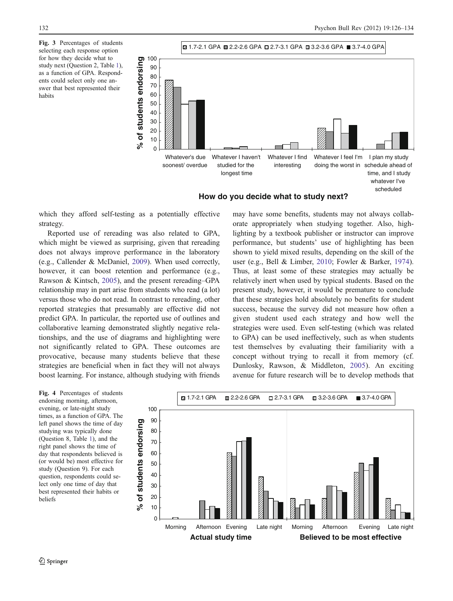selecting each response option for how they decide what to study next (Question 2, Table [1\)](#page-2-0), as a function of GPA. Respondents could select only one answer that best represented their habits

<span id="page-6-0"></span>

**How do you decide what to study next?**

which they afford self-testing as a potentially effective strategy.

Reported use of rereading was also related to GPA, which might be viewed as surprising, given that rereading does not always improve performance in the laboratory (e.g., Callender & McDaniel, [2009\)](#page-7-0). When used correctly, however, it can boost retention and performance (e.g., Rawson & Kintsch, [2005\)](#page-8-0), and the present rereading–GPA relationship may in part arise from students who read (a lot) versus those who do not read. In contrast to rereading, other reported strategies that presumably are effective did not predict GPA. In particular, the reported use of outlines and collaborative learning demonstrated slightly negative relationships, and the use of diagrams and highlighting were not significantly related to GPA. These outcomes are provocative, because many students believe that these strategies are beneficial when in fact they will not always boost learning. For instance, although studying with friends

may have some benefits, students may not always collaborate appropriately when studying together. Also, highlighting by a textbook publisher or instructor can improve performance, but students' use of highlighting has been shown to yield mixed results, depending on the skill of the user (e.g., Bell & Limber, [2010](#page-7-0); Fowler & Barker, [1974\)](#page-7-0). Thus, at least some of these strategies may actually be relatively inert when used by typical students. Based on the present study, however, it would be premature to conclude that these strategies hold absolutely no benefits for student success, because the survey did not measure how often a given student used each strategy and how well the strategies were used. Even self-testing (which was related to GPA) can be used ineffectively, such as when students test themselves by evaluating their familiarity with a concept without trying to recall it from memory (cf. Dunlosky, Rawson, & Middleton, [2005\)](#page-7-0). An exciting avenue for future research will be to develop methods that

endorsing morning, afternoon, evening, or late-night study times, as a function of GPA. The left panel shows the time of day studying was typically done (Question 8, Table [1\)](#page-2-0), and the right panel shows the time of day that respondents believed is (or would be) most effective for study (Question 9). For each question, respondents could select only one time of day that best represented their habits or beliefs

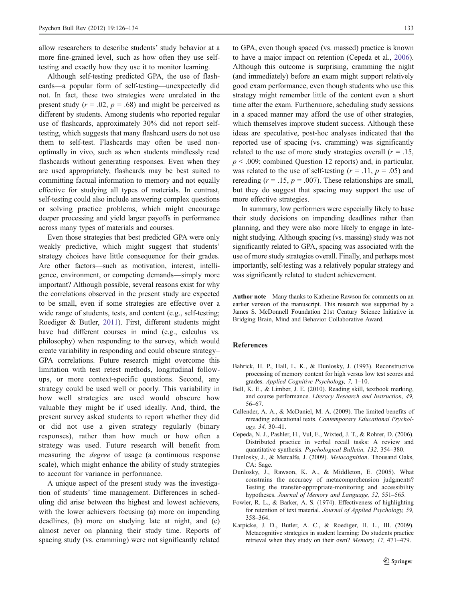<span id="page-7-0"></span>allow researchers to describe students' study behavior at a more fine-grained level, such as how often they use selftesting and exactly how they use it to monitor learning.

Although self-testing predicted GPA, the use of flashcards—a popular form of self-testing—unexpectedly did not. In fact, these two strategies were unrelated in the present study ( $r = .02$ ,  $p = .68$ ) and might be perceived as different by students. Among students who reported regular use of flashcards, approximately 30% did not report selftesting, which suggests that many flashcard users do not use them to self-test. Flashcards may often be used nonoptimally in vivo, such as when students mindlessly read flashcards without generating responses. Even when they are used appropriately, flashcards may be best suited to committing factual information to memory and not equally effective for studying all types of materials. In contrast, self-testing could also include answering complex questions or solving practice problems, which might encourage deeper processing and yield larger payoffs in performance across many types of materials and courses.

Even those strategies that best predicted GPA were only weakly predictive, which might suggest that students' strategy choices have little consequence for their grades. Are other factors—such as motivation, interest, intelligence, environment, or competing demands—simply more important? Although possible, several reasons exist for why the correlations observed in the present study are expected to be small, even if some strategies are effective over a wide range of students, tests, and content (e.g., self-testing; Roediger & Butler, [2011](#page-8-0)). First, different students might have had different courses in mind (e.g., calculus vs. philosophy) when responding to the survey, which would create variability in responding and could obscure strategy– GPA correlations. Future research might overcome this limitation with test–retest methods, longitudinal followups, or more context-specific questions. Second, any strategy could be used well or poorly. This variability in how well strategies are used would obscure how valuable they might be if used ideally. And, third, the present survey asked students to report whether they did or did not use a given strategy regularly (binary responses), rather than how much or how often a strategy was used. Future research will benefit from measuring the degree of usage (a continuous response scale), which might enhance the ability of study strategies to account for variance in performance.

A unique aspect of the present study was the investigation of students' time management. Differences in scheduling did arise between the highest and lowest achievers, with the lower achievers focusing (a) more on impending deadlines, (b) more on studying late at night, and (c) almost never on planning their study time. Reports of spacing study (vs. cramming) were not significantly related to GPA, even though spaced (vs. massed) practice is known to have a major impact on retention (Cepeda et al., 2006). Although this outcome is surprising, cramming the night (and immediately) before an exam might support relatively good exam performance, even though students who use this strategy might remember little of the content even a short time after the exam. Furthermore, scheduling study sessions in a spaced manner may afford the use of other strategies, which themselves improve student success. Although these ideas are speculative, post-hoc analyses indicated that the reported use of spacing (vs. cramming) was significantly related to the use of more study strategies overall ( $r = .15$ ,  $p < .009$ ; combined Question 12 reports) and, in particular, was related to the use of self-testing ( $r = .11$ ,  $p = .05$ ) and rereading ( $r = .15$ ,  $p = .007$ ). These relationships are small, but they do suggest that spacing may support the use of more effective strategies.

In summary, low performers were especially likely to base their study decisions on impending deadlines rather than planning, and they were also more likely to engage in latenight studying. Although spacing (vs. massing) study was not significantly related to GPA, spacing was associated with the use of more study strategies overall. Finally, and perhaps most importantly, self-testing was a relatively popular strategy and was significantly related to student achievement.

Author note Many thanks to Katherine Rawson for comments on an earlier version of the manuscript. This research was supported by a James S. McDonnell Foundation 21st Century Science Initiative in Bridging Brain, Mind and Behavior Collaborative Award.

### References

- Bahrick, H. P., Hall, L. K., & Dunlosky, J. (1993). Reconstructive processing of memory content for high versus low test scores and grades. Applied Cognitive Psychology, 7, 1–10.
- Bell, K. E., & Limber, J. E. (2010). Reading skill, textbook marking, and course performance. Literacy Research and Instruction, 49, 56–67.
- Callender, A. A., & McDaniel, M. A. (2009). The limited benefits of rereading educational texts. Contemporary Educational Psychology, 34, 30–41.
- Cepeda, N. J., Pashler, H., Vul, E., Wixted, J. T., & Rohrer, D. (2006). Distributed practice in verbal recall tasks: A review and quantitative synthesis. Psychological Bulletin, 132, 354–380.
- Dunlosky, J., & Metcalfe, J. (2009). Metacognition. Thousand Oaks, CA: Sage.
- Dunlosky, J., Rawson, K. A., & Middleton, E. (2005). What constrains the accuracy of metacomprehension judgments? Testing the transfer-appropriate-monitoring and accessibility hypotheses. Journal of Memory and Language, 52, 551–565.
- Fowler, R. L., & Barker, A. S. (1974). Effectiveness of highlighting for retention of text material. Journal of Applied Psychology, 59, 358–364.
- Karpicke, J. D., Butler, A. C., & Roediger, H. L., III. (2009). Metacognitive strategies in student learning: Do students practice retrieval when they study on their own? Memory, 17, 471–479.